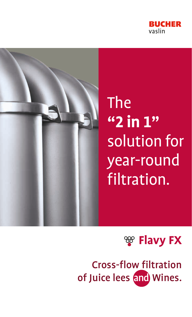



# The **"2 in 1"** solution for year-round filtration.



Cross-flow filtration of Juice lees and Wines.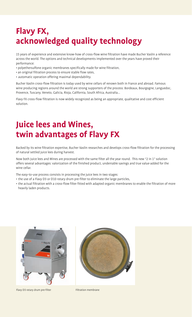# **Flavy FX, acknowledged quality technology**

15 years of experience and extensive know-how of cross-flow wine filtration have made Bucher Vaslin a reference across the world. The options and technical developments implemented over the years have proved their performance:

- polyethersulfone organic membranes specifically made for wine filtration,
- an original filtration process to ensure stable flow rates,
- automatic operation offering maximal dependability.

Bucher Vaslin cross-flow filtration is today used by wine cellars of renown both in France and abroad. Famous wine producing regions around the world are strong supporters of the process: Bordeaux, Bourgogne, Languedoc, Provence, Tuscany, Veneto, Galicia, Rioja, California, South Africa, Australia...

Flavy FX cross-flow filtration is now widely recognized as being an appropriate, qualitative and cost efficient solution.

## **Juice lees and Wines, twin advantages of Flavy FX**

Backed by its wine filtration expertise, Bucher Vaslin researches and develops cross-flow filtration for the processing of natural settled juice lees during harvest.

Now both Juice lees and Wines are processed with the same filter all the year round. This new "2 in 1" solution offers several advantages: valorization of the finished product, undeniable savings and true value-added for the wine cellar.

The easy-to-use process consists in processing the juice lees in two stages:

- the use of a Flavy D3 or D10 rotary drum pre-filter to eliminate the large particles,
- the actual filtration with a cross-flow filter fitted with adapted organic membranes to enable the filtration of more heavily laden products.





Flavy D3 rotary drum pre-filter Filtration membrane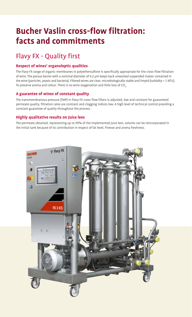### **Bucher Vaslin cross-flow filtration: facts and commitments**

### Flavy FX - Quality first

#### **Respect of wines' organoleptic qualities**

The Flavy FX range of organic membranes in polyethersulfone is specifically appropriate for the cross-flow filtration of wine. The porous barrier with a nominal diameter of 0.2 µm keeps back unwanted suspended matter contained in the wine (particles, yeasts and bacteria). Filtered wines are clear, microbiologically stable and limpid (turbidity < 1 NTU). To preserve aroma and colour. There is no wine oxygenation and little loss of CO<sub>2</sub>.

#### **A guarantee of wines of constant quality**

The transmembranous pressure (TMP) in Flavy FX cross-flow filters is adjusted, low and constant for guaranteed permeate quality, filtration rates are constant and clogging indices low. A high level of technical control providing a constant guarantee of quality throughout the process.

#### **Highly qualitative results on Juice lees**

The permeate obtained, representing up to 90% of the implemented juice lees, volume can be reincorporated in the initial tank because of its contribution in respect of fat level, finesse and aroma freshness.

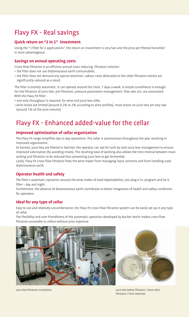### Flavy FX - Real savings

#### **Quick return on "2 in 1" investment**

Using the "1 filter for 2 applications", the return on investment is very fast and the price per filtered hectoliter is more advantageous.

#### **Savings on annual operating costs**

Cross-flow filtration is an efficient annual costs-reducing filtration solution:

- the filter does not use diatomaceous earth consumables,
- the filter does not demand any special attention. Labour costs dedicated to the cellar filtration station are significantly reduced as a result.

The filter is entirely automatic, it can operate around the clock, 7 days a week. A simple surveillance is enough. For the filtration of juice lees: pre-filtration, pressure parameters management, flow rate, etc, are automated. With the Flavy FX filter:

- one only throughput is required, for wine and juice lees alike,
- wine losses are limited (around 0.1% to 2% according to wine profiles), must losses on juice lees are very low (around 1% of the juice volume).

### Flavy FX - Enhanced added-value for the cellar

#### **Improved optimization of cellar organization**

The Flavy FX range simplifies day to day operations. The cellar is autonomous throughout the year resulting in improved organization.

At harvest, juice lees are filtered in batches: the operator can opt for tank by tank juice lees management to ensure improved valorization (by avoiding mixes). The resulting ease of working also allows the time interval between must racking and filtration to be reduced thus preventing juice lees to get fermented.

Lastly, Flavy FX cross-flow filtration frees the wine maker from managing input concerns and from handling used diatomaceous earth.

#### **Operator health and safety**

The filter's automatic operation assures the wine maker of total dependability. Just plug it in, program and let it filter – day and night.

Furthermore, the absence of diatomaceous earth contributes to better integration of health and safety conditions for operators.

#### **Ideal for any type of cellar**

Easy to use and relatively uncumbersome, the Flavy FX cross-flow filtration system can be easily set up in any type of cellar.

The flexibility and user-friendliness of the automatic operation developed by Bucher Vaslin makes cross-flow filtration accessible to cellars without prior expertise.





Juice lees filtration installation Juice lees before filtration / Must after filtration / Final retentate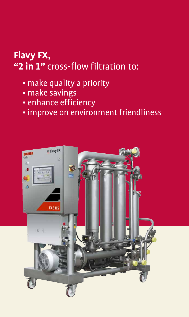# **Flavy FX, "2 in 1"** cross-flow filtration to:

- make quality a priority
- make savings
- enhance efficiency
- improve on environment friendliness